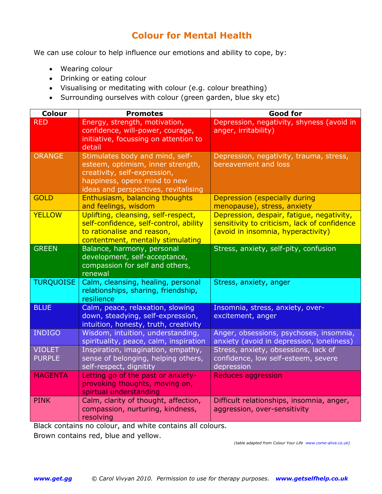## **Colour for Mental Health**

We can use colour to help influence our emotions and ability to cope, by:

- Wearing colour
- Drinking or eating colour
- Visualising or meditating with colour (e.g. colour breathing)
- Surrounding ourselves with colour (green garden, blue sky etc)

| <b>Colour</b>                  | <b>Promotes</b>                                                                                                                                                              | <b>Good for</b>                                                                                                                 |
|--------------------------------|------------------------------------------------------------------------------------------------------------------------------------------------------------------------------|---------------------------------------------------------------------------------------------------------------------------------|
| <b>RED</b>                     | Energy, strength, motivation,<br>confidence, will-power, courage,<br>initiative, focussing on attention to<br>detail                                                         | Depression, negativity, shyness (avoid in<br>anger, irritability)                                                               |
| <b>ORANGE</b>                  | Stimulates body and mind, self-<br>esteem, optimism, inner strength,<br>creativity, self-expression,<br>happiness, opens mind to new<br>ideas and perspectives, revitalising | Depression, negativity, trauma, stress,<br>bereavement and loss                                                                 |
| <b>GOLD</b>                    | Enthusiasm, balancing thoughts<br>and feelings, wisdom                                                                                                                       | Depression (especially during<br>menopause), stress, anxiety                                                                    |
| <b>YELLOW</b>                  | Uplifting, cleansing, self-respect,<br>self-confidence, self-control, ability<br>to rationalise and reason,<br>contentment, mentally stimulating                             | Depression, despair, fatigue, negativity,<br>sensitivity to criticism, lack of confidence<br>(avoid in insomnia, hyperactivity) |
| <b>GREEN</b>                   | Balance, harmony, personal<br>development, self-acceptance,<br>compassion for self and others,<br>renewal                                                                    | Stress, anxiety, self-pity, confusion                                                                                           |
| <b>TURQUOISE</b>               | Calm, cleansing, healing, personal<br>relationships, sharing, friendship,<br>resilience                                                                                      | Stress, anxiety, anger                                                                                                          |
| <b>BLUE</b>                    | Calm, peace, relaxation, slowing<br>down, steadying, self-expression,<br>intuition, honesty, truth, creativity                                                               | Insomnia, stress, anxiety, over-<br>excitement, anger                                                                           |
| <b>INDIGO</b>                  | Wisdom, intuition, understanding,<br>spirituality, peace, calm, inspiration                                                                                                  | Anger, obsessions, psychoses, insomnia,<br>anxiety (avoid in depression, loneliness)                                            |
| <b>VIOLET</b><br><b>PURPLE</b> | Inspiration, imagination, empathy,<br>sense of belonging, helping others,<br>self-respect, dignitity                                                                         | Stress, anxiety, obsessions, lack of<br>confidence, low self-esteem, severe<br>depression                                       |
| <b>MAGENTA</b>                 | Letting go of the past or anxiety-<br>provoking thoughts, moving on,<br>spirtual understanding                                                                               | <b>Reduces aggression</b>                                                                                                       |
| <b>PINK</b>                    | Calm, clarity of thought, affection,<br>compassion, nurturing, kindness,<br>resolving                                                                                        | Difficult relationships, insomnia, anger,<br>aggression, over-sensitivity                                                       |

Black contains no colour, and white contains all colours.

Brown contains red, blue and yellow.

*(table adapted from Colour Your Life [www.come-alive.co.uk\)](http://www.come-alive.co.uk/)*